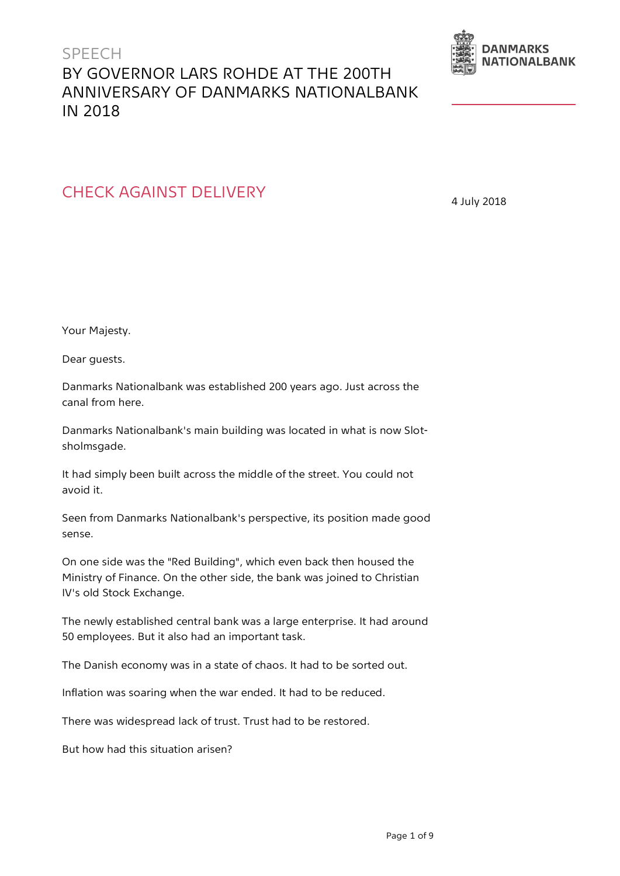## SPEECH BY GOVERNOR LARS ROHDE AT THE 200TH ANNIVERSARY OF DANMARKS NATIONALBANK IN 2018



## CHECK AGAINST DELIVERY

4 July 2018

Your Majesty.

Dear guests.

Danmarks Nationalbank was established 200 years ago. Just across the canal from here.

Danmarks Nationalbank's main building was located in what is now Slotsholmsgade.

It had simply been built across the middle of the street. You could not avoid it.

Seen from Danmarks Nationalbank's perspective, its position made good sense.

On one side was the "Red Building", which even back then housed the Ministry of Finance. On the other side, the bank was joined to Christian IV's old Stock Exchange.

The newly established central bank was a large enterprise. It had around 50 employees. But it also had an important task.

The Danish economy was in a state of chaos. It had to be sorted out.

Inflation was soaring when the war ended. It had to be reduced.

There was widespread lack of trust. Trust had to be restored.

But how had this situation arisen?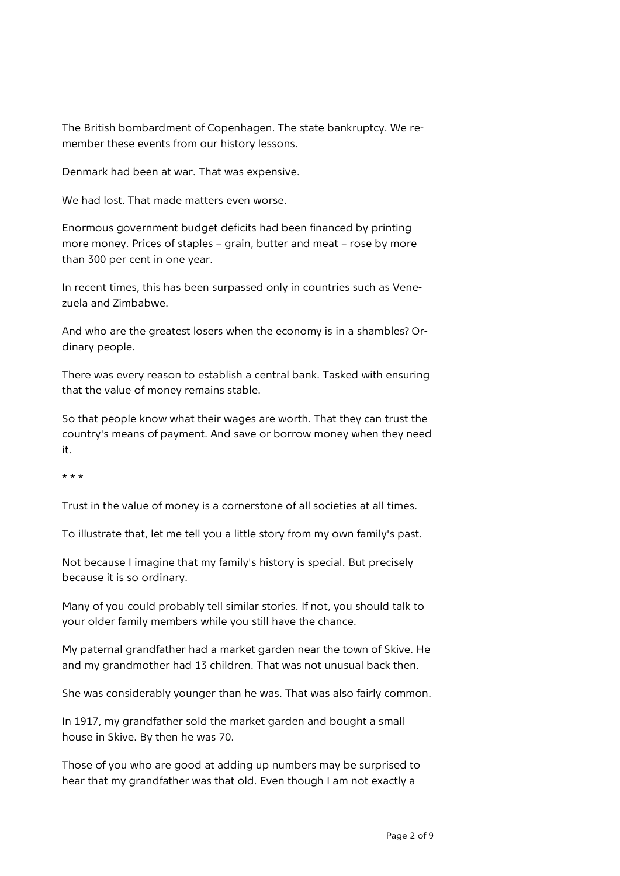The British bombardment of Copenhagen. The state bankruptcy. We remember these events from our history lessons.

Denmark had been at war. That was expensive.

We had lost. That made matters even worse.

Enormous government budget deficits had been financed by printing more money. Prices of staples – grain, butter and meat – rose by more than 300 per cent in one year.

In recent times, this has been surpassed only in countries such as Venezuela and Zimbabwe.

And who are the greatest losers when the economy is in a shambles? Ordinary people.

There was every reason to establish a central bank. Tasked with ensuring that the value of money remains stable.

So that people know what their wages are worth. That they can trust the country's means of payment. And save or borrow money when they need it.

 $+ + +$ 

Trust in the value of money is a cornerstone of all societies at all times.

To illustrate that, let me tell you a little story from my own family's past.

Not because I imagine that my family's history is special. But precisely because it is so ordinary.

Many of you could probably tell similar stories. If not, you should talk to your older family members while you still have the chance.

My paternal grandfather had a market garden near the town of Skive. He and my grandmother had 13 children. That was not unusual back then.

She was considerably younger than he was. That was also fairly common.

In 1917, my grandfather sold the market garden and bought a small house in Skive. By then he was 70.

Those of you who are good at adding up numbers may be surprised to hear that my grandfather was that old. Even though I am not exactly a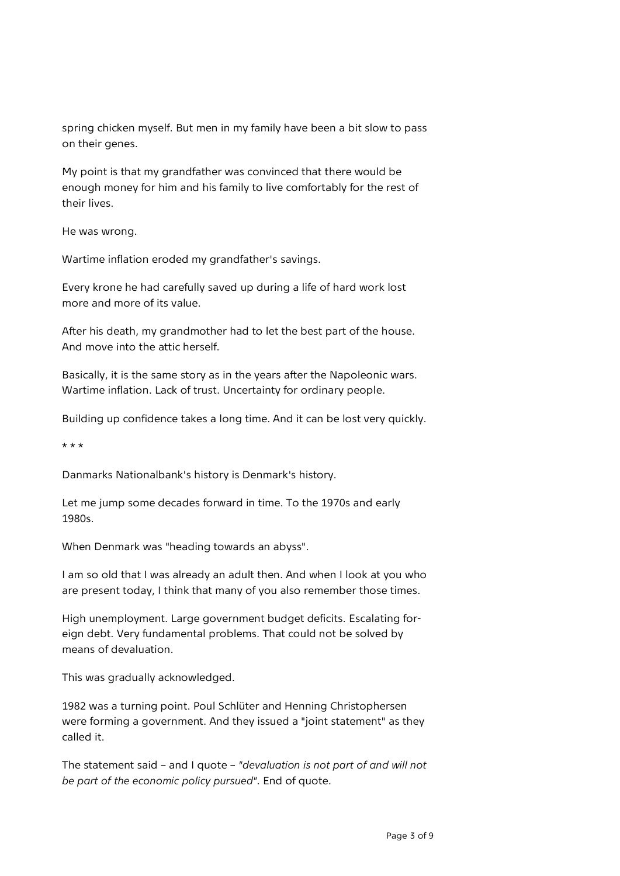spring chicken myself. But men in my family have been a bit slow to pass on their genes.

My point is that my grandfather was convinced that there would be enough money for him and his family to live comfortably for the rest of their lives.

He was wrong.

Wartime inflation eroded my grandfather's savings.

Every krone he had carefully saved up during a life of hard work lost more and more of its value.

After his death, my grandmother had to let the best part of the house. And move into the attic herself.

Basically, it is the same story as in the years after the Napoleonic wars. Wartime inflation. Lack of trust. Uncertainty for ordinary people.

Building up confidence takes a long time. And it can be lost very quickly.

\* \* \*

Danmarks Nationalbank's history is Denmark's history.

Let me jump some decades forward in time. To the 1970s and early 1980s.

When Denmark was "heading towards an abyss".

I am so old that I was already an adult then. And when I look at you who are present today, I think that many of you also remember those times.

High unemployment. Large government budget deficits. Escalating foreign debt. Very fundamental problems. That could not be solved by means of devaluation.

This was gradually acknowledged.

1982 was a turning point. Poul Schlüter and Henning Christophersen were forming a government. And they issued a "joint statement" as they called it.

The statement said – and I quote – *"devaluation is not part of and will not be part of the economic policy pursued"*. End of quote.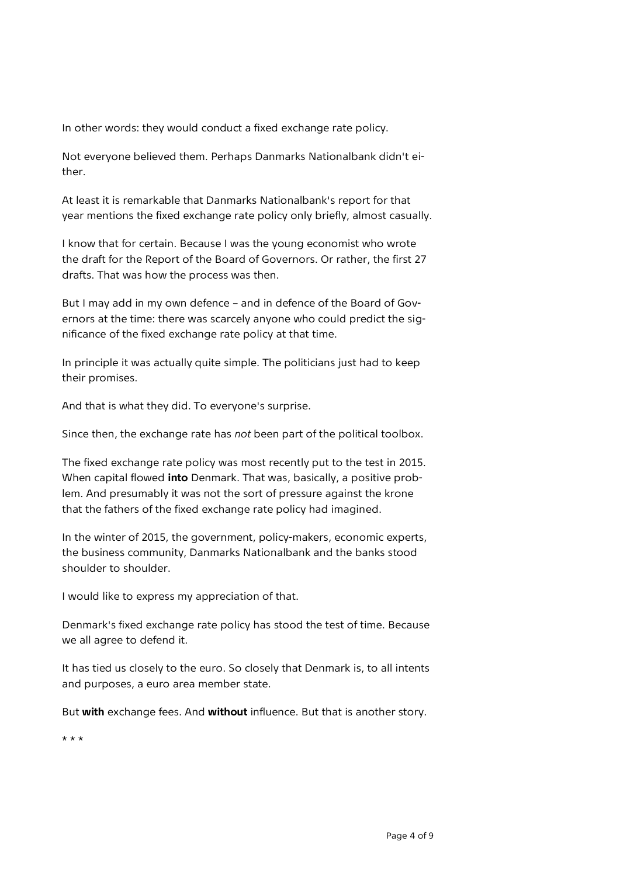In other words: they would conduct a fixed exchange rate policy.

Not everyone believed them. Perhaps Danmarks Nationalbank didn't either.

At least it is remarkable that Danmarks Nationalbank's report for that year mentions the fixed exchange rate policy only briefly, almost casually.

I know that for certain. Because I was the young economist who wrote the draft for the Report of the Board of Governors. Or rather, the first 27 drafts. That was how the process was then.

But I may add in my own defence – and in defence of the Board of Governors at the time: there was scarcely anyone who could predict the significance of the fixed exchange rate policy at that time.

In principle it was actually quite simple. The politicians just had to keep their promises.

And that is what they did. To everyone's surprise.

Since then, the exchange rate has *not* been part of the political toolbox.

The fixed exchange rate policy was most recently put to the test in 2015. When capital flowed **into** Denmark. That was, basically, a positive problem. And presumably it was not the sort of pressure against the krone that the fathers of the fixed exchange rate policy had imagined.

In the winter of 2015, the government, policy-makers, economic experts, the business community, Danmarks Nationalbank and the banks stood shoulder to shoulder.

I would like to express my appreciation of that.

Denmark's fixed exchange rate policy has stood the test of time. Because we all agree to defend it.

It has tied us closely to the euro. So closely that Denmark is, to all intents and purposes, a euro area member state.

But **with** exchange fees. And **without** influence. But that is another story.

\* \* \*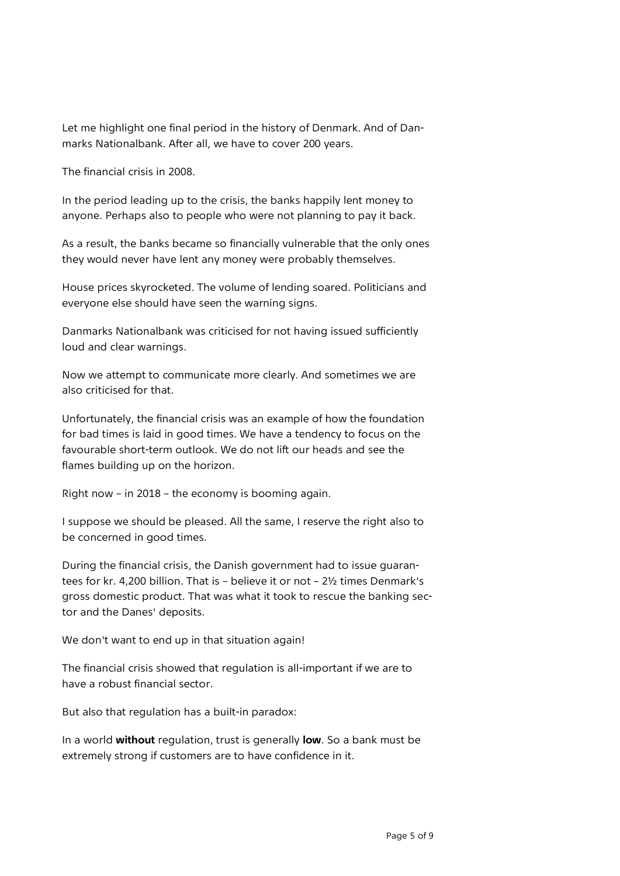Let me highlight one final period in the history of Denmark. And of Danmarks Nationalbank. After all, we have to cover 200 years.

The financial crisis in 2008.

In the period leading up to the crisis, the banks happily lent money to anyone. Perhaps also to people who were not planning to pay it back.

As a result, the banks became so financially vulnerable that the only ones they would never have lent any money were probably themselves.

House prices skyrocketed. The volume of lending soared. Politicians and everyone else should have seen the warning signs.

Danmarks Nationalbank was criticised for not having issued sufficiently loud and clear warnings.

Now we attempt to communicate more clearly. And sometimes we are also criticised for that.

Unfortunately, the financial crisis was an example of how the foundation for bad times is laid in good times. We have a tendency to focus on the favourable short-term outlook. We do not lift our heads and see the flames building up on the horizon.

Right now – in 2018 – the economy is booming again.

I suppose we should be pleased. All the same, I reserve the right also to be concerned in good times.

During the financial crisis, the Danish government had to issue guarantees for kr. 4,200 billion. That is – believe it or not – 2½ times Denmark's gross domestic product. That was what it took to rescue the banking sector and the Danes' deposits.

We don't want to end up in that situation again!

The financial crisis showed that regulation is all-important if we are to have a robust financial sector.

But also that regulation has a built-in paradox:

In a world **without** regulation, trust is generally **low**. So a bank must be extremely strong if customers are to have confidence in it.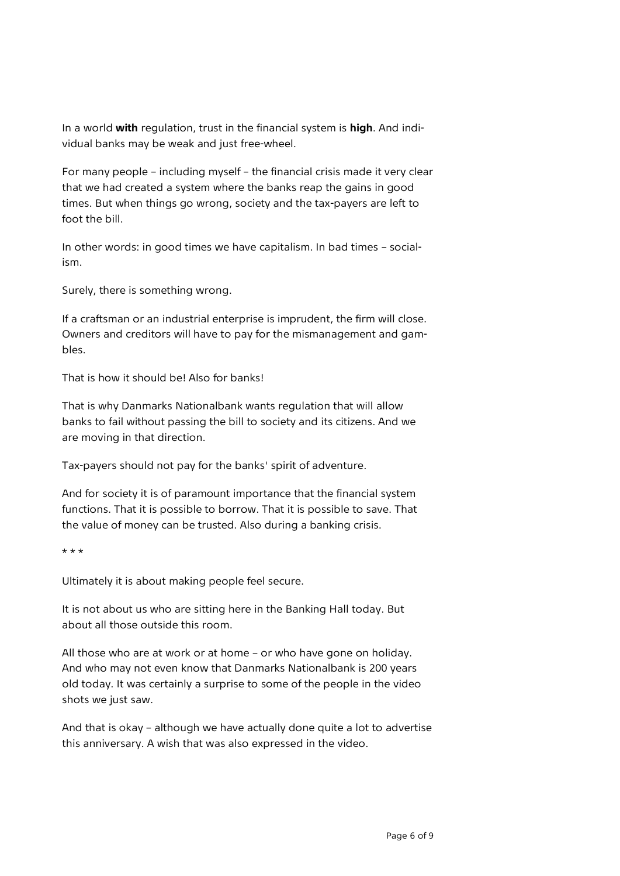In a world **with** regulation, trust in the financial system is **high**. And individual banks may be weak and just free-wheel.

For many people – including myself – the financial crisis made it very clear that we had created a system where the banks reap the gains in good times. But when things go wrong, society and the tax-payers are left to foot the bill.

In other words: in good times we have capitalism. In bad times – socialism.

Surely, there is something wrong.

If a craftsman or an industrial enterprise is imprudent, the firm will close. Owners and creditors will have to pay for the mismanagement and gambles.

That is how it should be! Also for banks!

That is why Danmarks Nationalbank wants regulation that will allow banks to fail without passing the bill to society and its citizens. And we are moving in that direction.

Tax-payers should not pay for the banks' spirit of adventure.

And for society it is of paramount importance that the financial system functions. That it is possible to borrow. That it is possible to save. That the value of money can be trusted. Also during a banking crisis.

\* \* \*

Ultimately it is about making people feel secure.

It is not about us who are sitting here in the Banking Hall today. But about all those outside this room.

All those who are at work or at home – or who have gone on holiday. And who may not even know that Danmarks Nationalbank is 200 years old today. It was certainly a surprise to some of the people in the video shots we just saw.

And that is okay – although we have actually done quite a lot to advertise this anniversary. A wish that was also expressed in the video.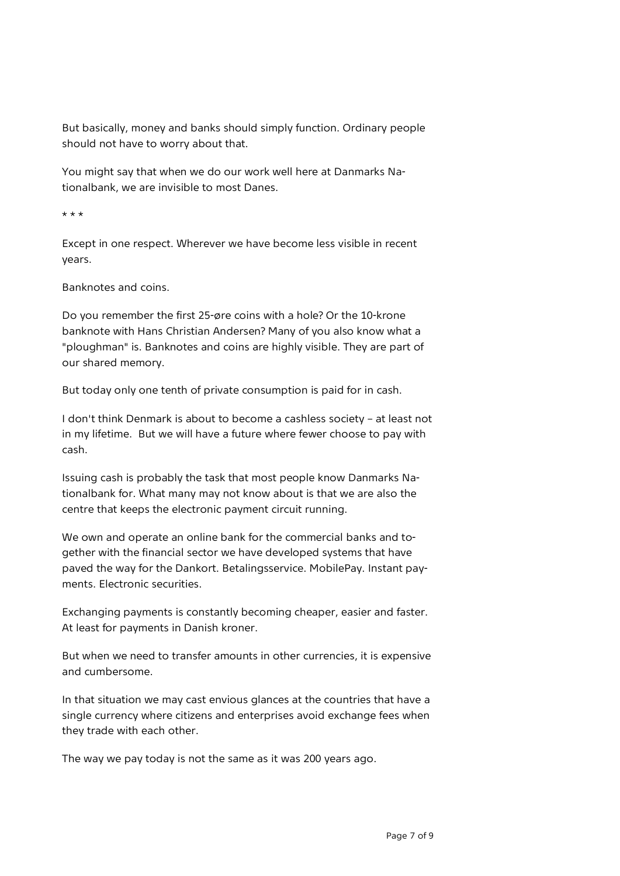But basically, money and banks should simply function. Ordinary people should not have to worry about that.

You might say that when we do our work well here at Danmarks Nationalbank, we are invisible to most Danes.

\* \* \*

Except in one respect. Wherever we have become less visible in recent years.

Banknotes and coins.

Do you remember the first 25-øre coins with a hole? Or the 10-krone banknote with Hans Christian Andersen? Many of you also know what a "ploughman" is. Banknotes and coins are highly visible. They are part of our shared memory.

But today only one tenth of private consumption is paid for in cash.

I don't think Denmark is about to become a cashless society – at least not in my lifetime. But we will have a future where fewer choose to pay with cash.

Issuing cash is probably the task that most people know Danmarks Nationalbank for. What many may not know about is that we are also the centre that keeps the electronic payment circuit running.

We own and operate an online bank for the commercial banks and together with the financial sector we have developed systems that have paved the way for the Dankort. Betalingsservice. MobilePay. Instant payments. Electronic securities.

Exchanging payments is constantly becoming cheaper, easier and faster. At least for payments in Danish kroner.

But when we need to transfer amounts in other currencies, it is expensive and cumbersome.

In that situation we may cast envious glances at the countries that have a single currency where citizens and enterprises avoid exchange fees when they trade with each other.

The way we pay today is not the same as it was 200 years ago.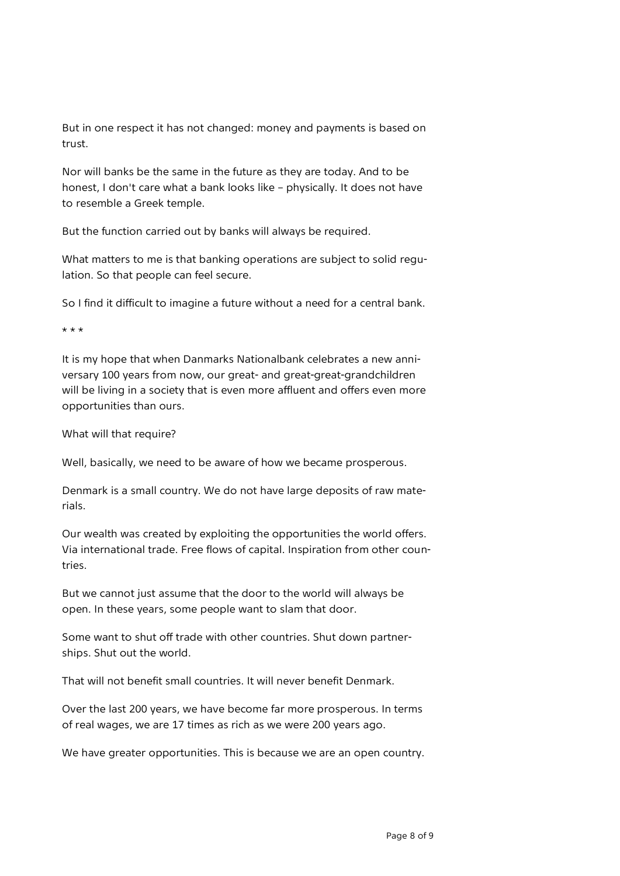But in one respect it has not changed: money and payments is based on trust.

Nor will banks be the same in the future as they are today. And to be honest, I don't care what a bank looks like – physically. It does not have to resemble a Greek temple.

But the function carried out by banks will always be required.

What matters to me is that banking operations are subject to solid regulation. So that people can feel secure.

So I find it difficult to imagine a future without a need for a central bank.

 $+ + +$ 

It is my hope that when Danmarks Nationalbank celebrates a new anniversary 100 years from now, our great- and great-great-grandchildren will be living in a society that is even more affluent and offers even more opportunities than ours.

What will that require?

Well, basically, we need to be aware of how we became prosperous.

Denmark is a small country. We do not have large deposits of raw materials.

Our wealth was created by exploiting the opportunities the world offers. Via international trade. Free flows of capital. Inspiration from other countries.

But we cannot just assume that the door to the world will always be open. In these years, some people want to slam that door.

Some want to shut off trade with other countries. Shut down partnerships. Shut out the world.

That will not benefit small countries. It will never benefit Denmark.

Over the last 200 years, we have become far more prosperous. In terms of real wages, we are 17 times as rich as we were 200 years ago.

We have greater opportunities. This is because we are an open country.